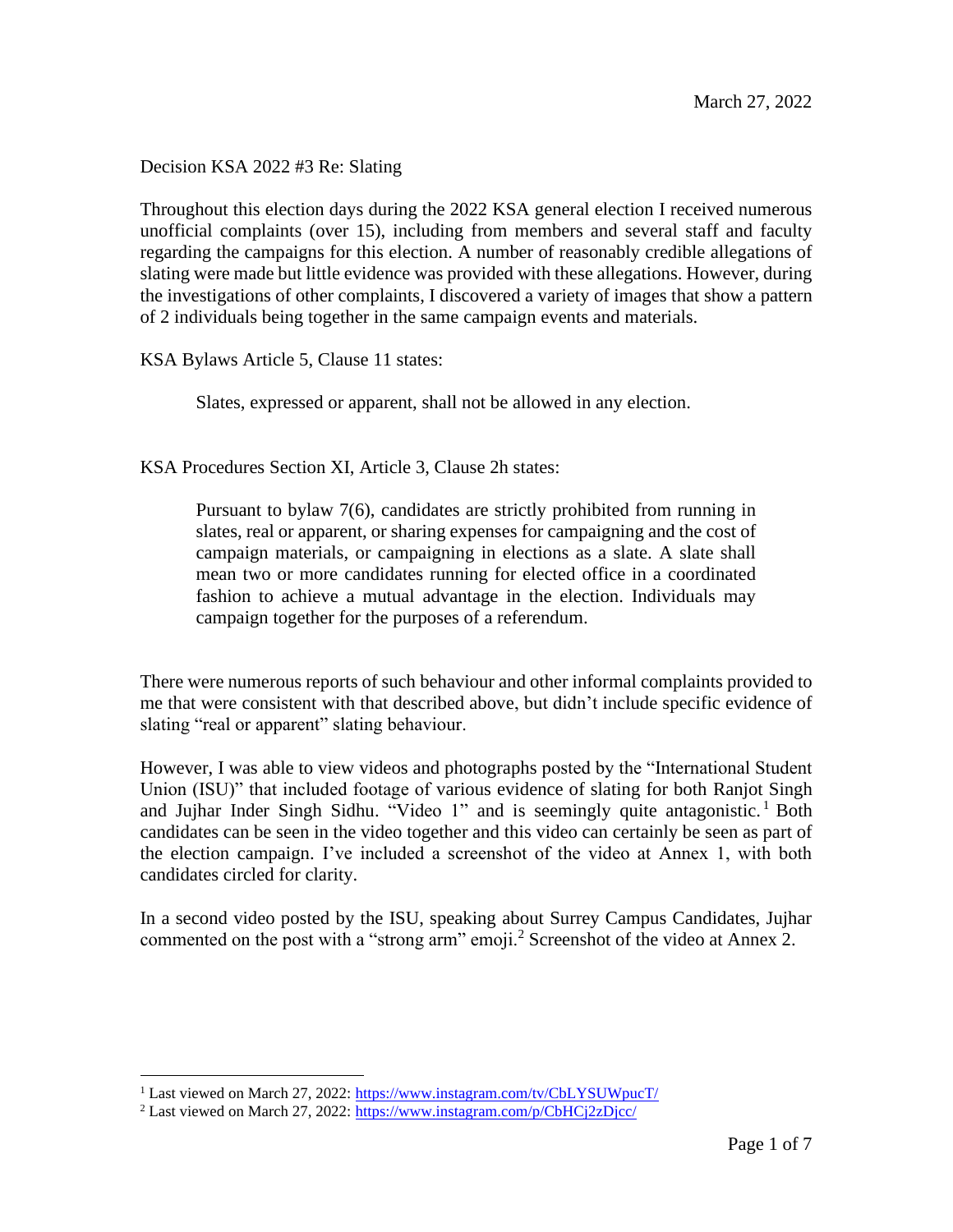Decision KSA 2022 #3 Re: Slating

Throughout this election days during the 2022 KSA general election I received numerous unofficial complaints (over 15), including from members and several staff and faculty regarding the campaigns for this election. A number of reasonably credible allegations of slating were made but little evidence was provided with these allegations. However, during the investigations of other complaints, I discovered a variety of images that show a pattern of 2 individuals being together in the same campaign events and materials.

KSA Bylaws Article 5, Clause 11 states:

Slates, expressed or apparent, shall not be allowed in any election.

KSA Procedures Section XI, Article 3, Clause 2h states:

Pursuant to bylaw 7(6), candidates are strictly prohibited from running in slates, real or apparent, or sharing expenses for campaigning and the cost of campaign materials, or campaigning in elections as a slate. A slate shall mean two or more candidates running for elected office in a coordinated fashion to achieve a mutual advantage in the election. Individuals may campaign together for the purposes of a referendum.

There were numerous reports of such behaviour and other informal complaints provided to me that were consistent with that described above, but didn't include specific evidence of slating "real or apparent" slating behaviour.

However, I was able to view videos and photographs posted by the "International Student Union (ISU)" that included footage of various evidence of slating for both Ranjot Singh and Jujhar Inder Singh Sidhu. "Video 1" and is seemingly quite antagonistic.<sup>1</sup> Both candidates can be seen in the video together and this video can certainly be seen as part of the election campaign. I've included a screenshot of the video at Annex 1, with both candidates circled for clarity.

In a second video posted by the ISU, speaking about Surrey Campus Candidates, Jujhar commented on the post with a "strong arm" emoji.<sup>2</sup> Screenshot of the video at Annex 2.

<sup>&</sup>lt;sup>1</sup> Last viewed on March 27, 2022:<https://www.instagram.com/tv/CbLYSUWpucT/>

<sup>&</sup>lt;sup>2</sup> Last viewed on March 27, 2022:<https://www.instagram.com/p/CbHCj2zDjcc/>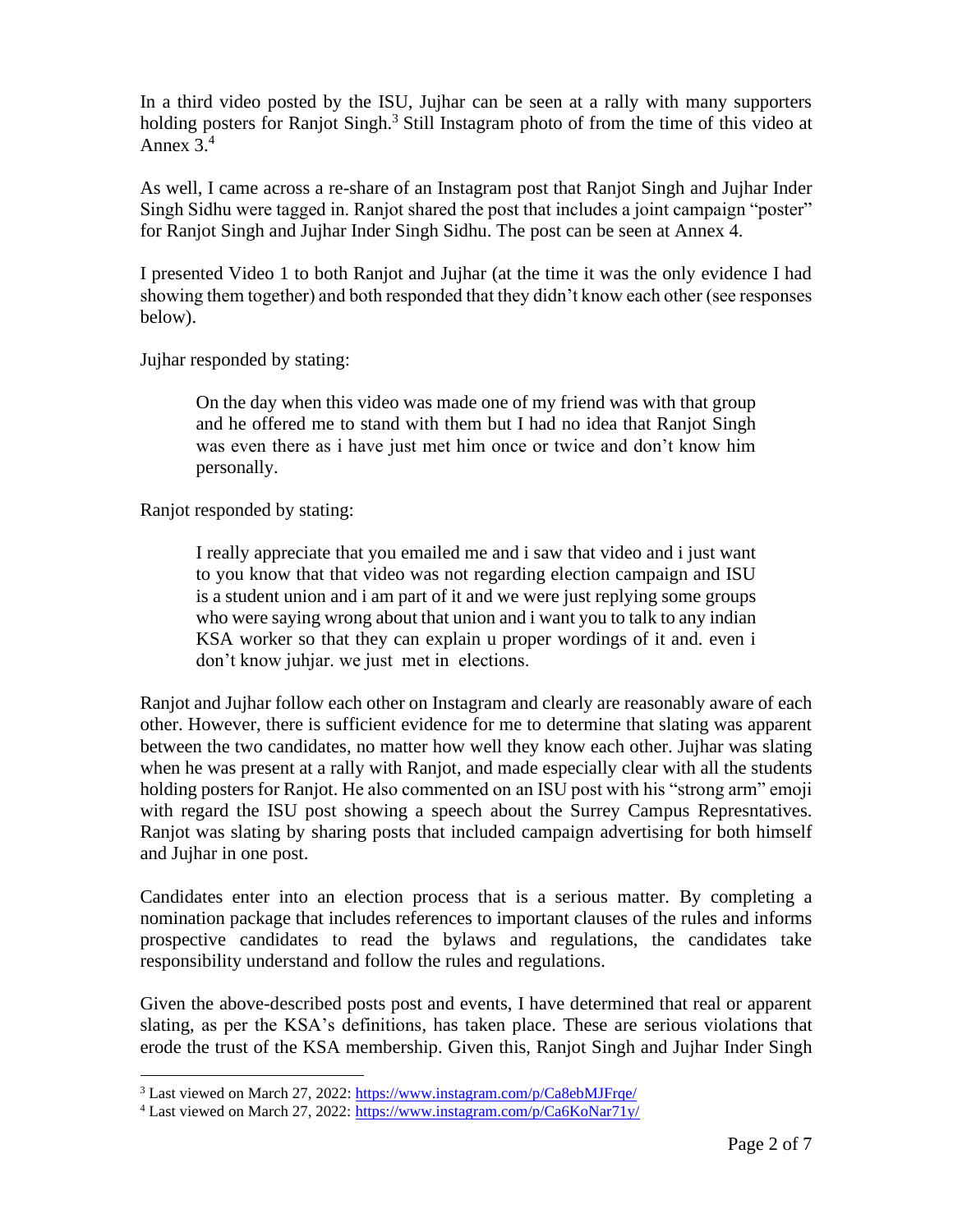In a third video posted by the ISU, Jujhar can be seen at a rally with many supporters holding posters for Ranjot Singh.<sup>3</sup> Still Instagram photo of from the time of this video at Annex  $3<sup>4</sup>$ 

As well, I came across a re-share of an Instagram post that Ranjot Singh and Jujhar Inder Singh Sidhu were tagged in. Ranjot shared the post that includes a joint campaign "poster" for Ranjot Singh and Jujhar Inder Singh Sidhu. The post can be seen at Annex 4.

I presented Video 1 to both Ranjot and Jujhar (at the time it was the only evidence I had showing them together) and both responded that they didn't know each other (see responses below).

Jujhar responded by stating:

On the day when this video was made one of my friend was with that group and he offered me to stand with them but I had no idea that Ranjot Singh was even there as i have just met him once or twice and don't know him personally.

Ranjot responded by stating:

I really appreciate that you emailed me and i saw that video and i just want to you know that that video was not regarding election campaign and ISU is a student union and i am part of it and we were just replying some groups who were saying wrong about that union and i want you to talk to any indian KSA worker so that they can explain u proper wordings of it and. even i don't know juhjar. we just met in elections.

Ranjot and Jujhar follow each other on Instagram and clearly are reasonably aware of each other. However, there is sufficient evidence for me to determine that slating was apparent between the two candidates, no matter how well they know each other. Jujhar was slating when he was present at a rally with Ranjot, and made especially clear with all the students holding posters for Ranjot. He also commented on an ISU post with his "strong arm" emoji with regard the ISU post showing a speech about the Surrey Campus Represntatives. Ranjot was slating by sharing posts that included campaign advertising for both himself and Jujhar in one post.

Candidates enter into an election process that is a serious matter. By completing a nomination package that includes references to important clauses of the rules and informs prospective candidates to read the bylaws and regulations, the candidates take responsibility understand and follow the rules and regulations.

Given the above-described posts post and events, I have determined that real or apparent slating, as per the KSA's definitions, has taken place. These are serious violations that erode the trust of the KSA membership. Given this, Ranjot Singh and Jujhar Inder Singh

<sup>&</sup>lt;sup>3</sup> Last viewed on March 27, 2022:<https://www.instagram.com/p/Ca8ebMJFrqe/>

<sup>&</sup>lt;sup>4</sup> Last viewed on March 27, 2022:<https://www.instagram.com/p/Ca6KoNar71y/>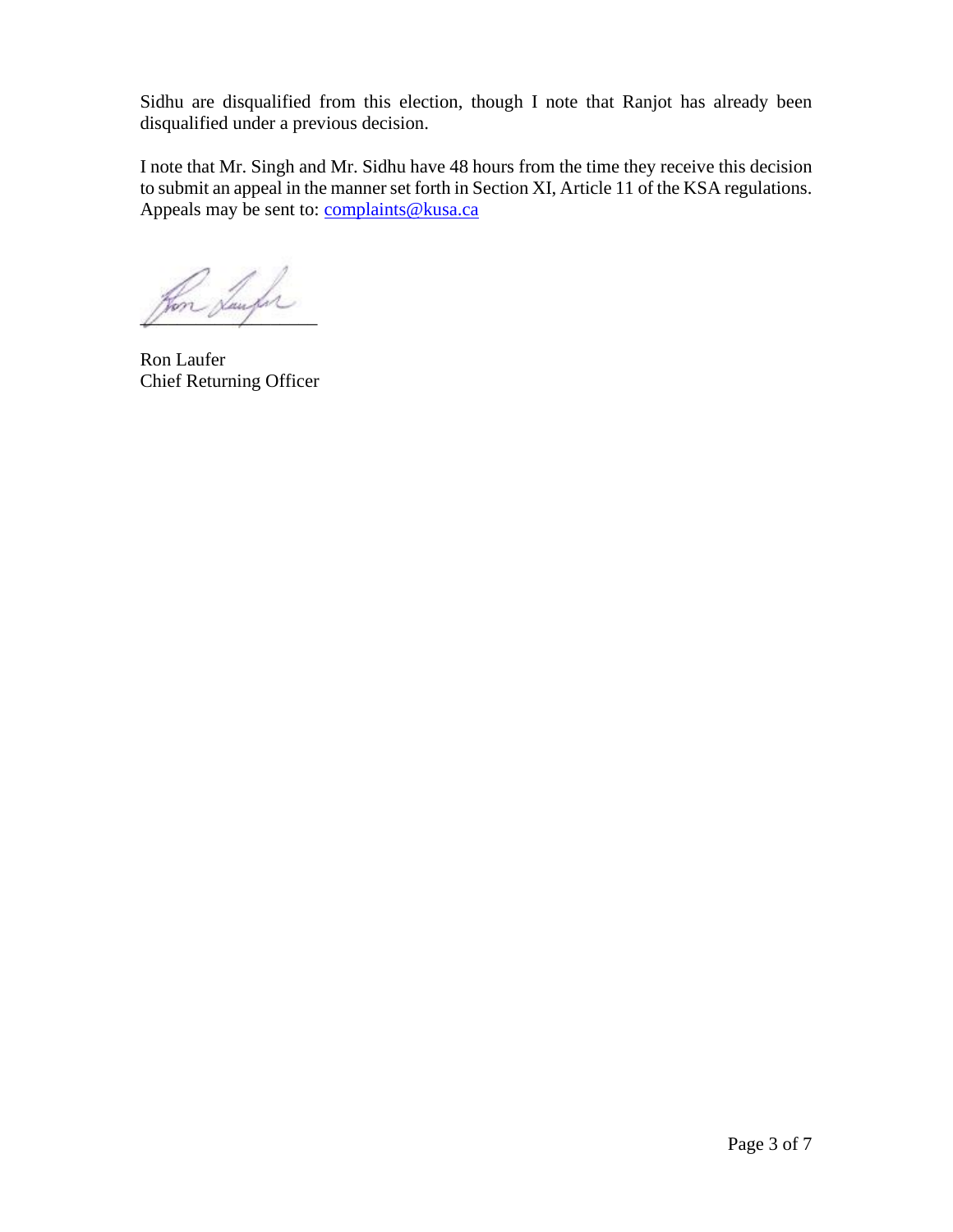Sidhu are disqualified from this election, though I note that Ranjot has already been disqualified under a previous decision.

I note that Mr. Singh and Mr. Sidhu have 48 hours from the time they receive this decision to submit an appeal in the manner set forth in Section XI, Article 11 of the KSA regulations. Appeals may be sent to:  $complaints@kusa.ca$ </u>

Hon Sunfor

Ron Laufer Chief Returning Officer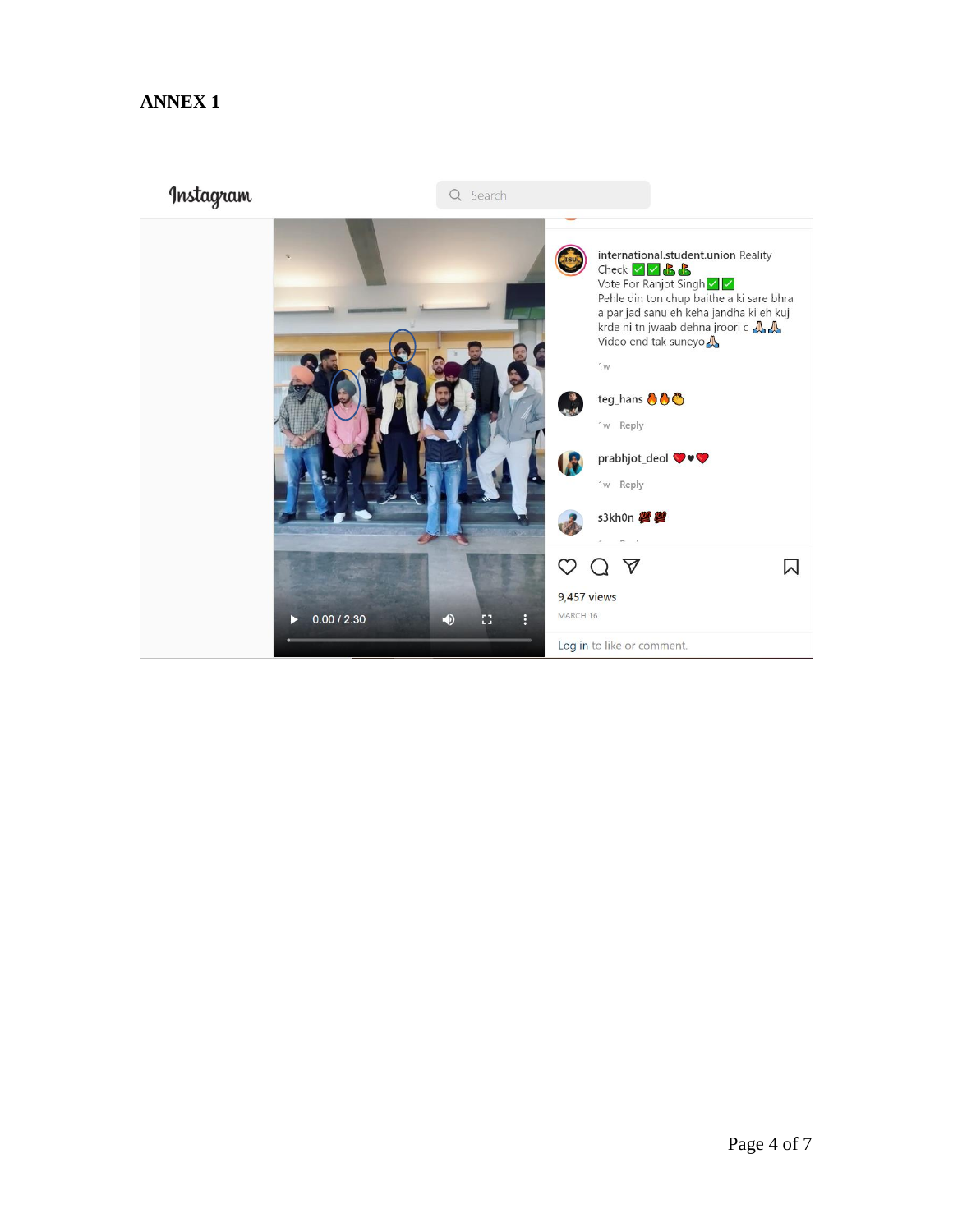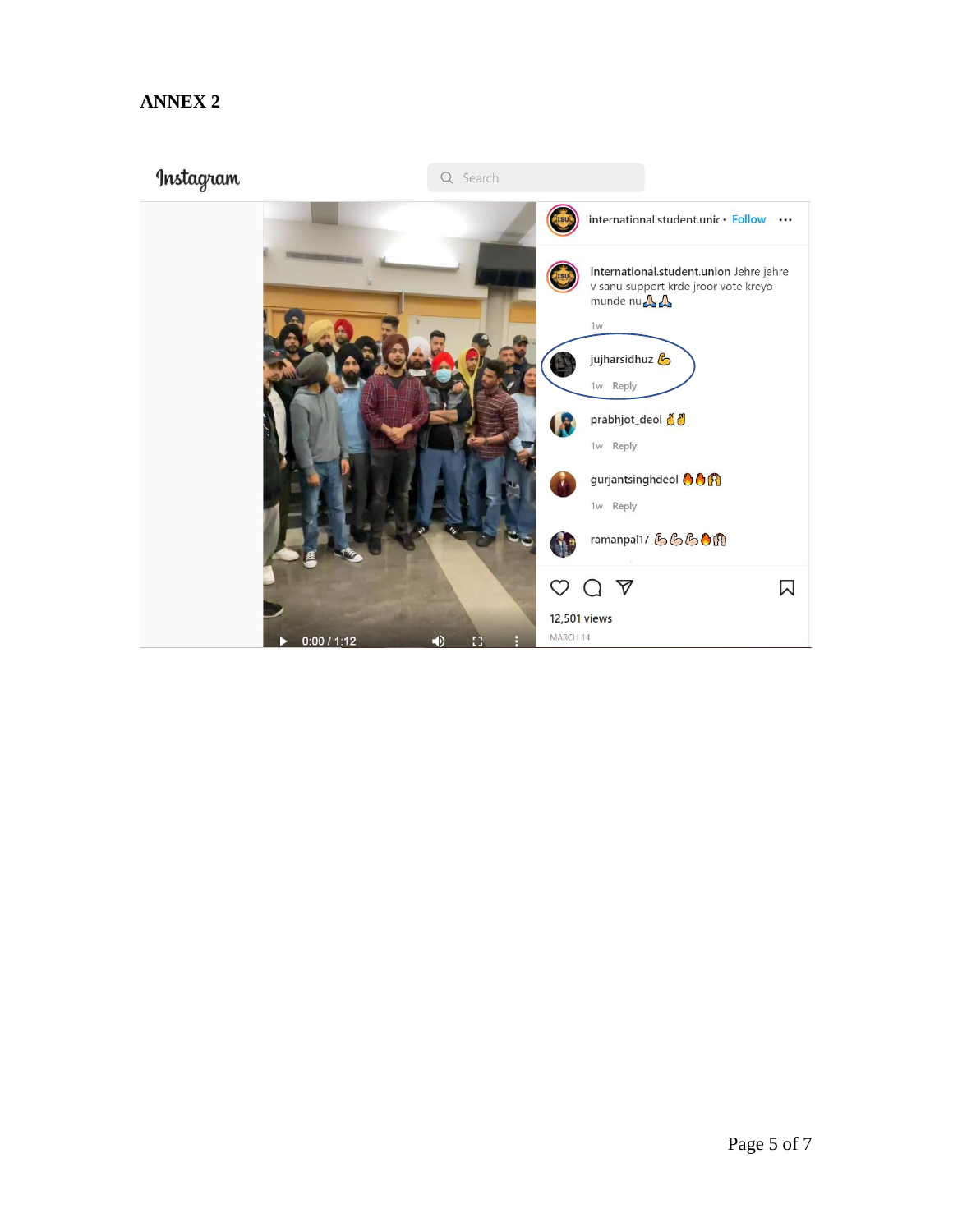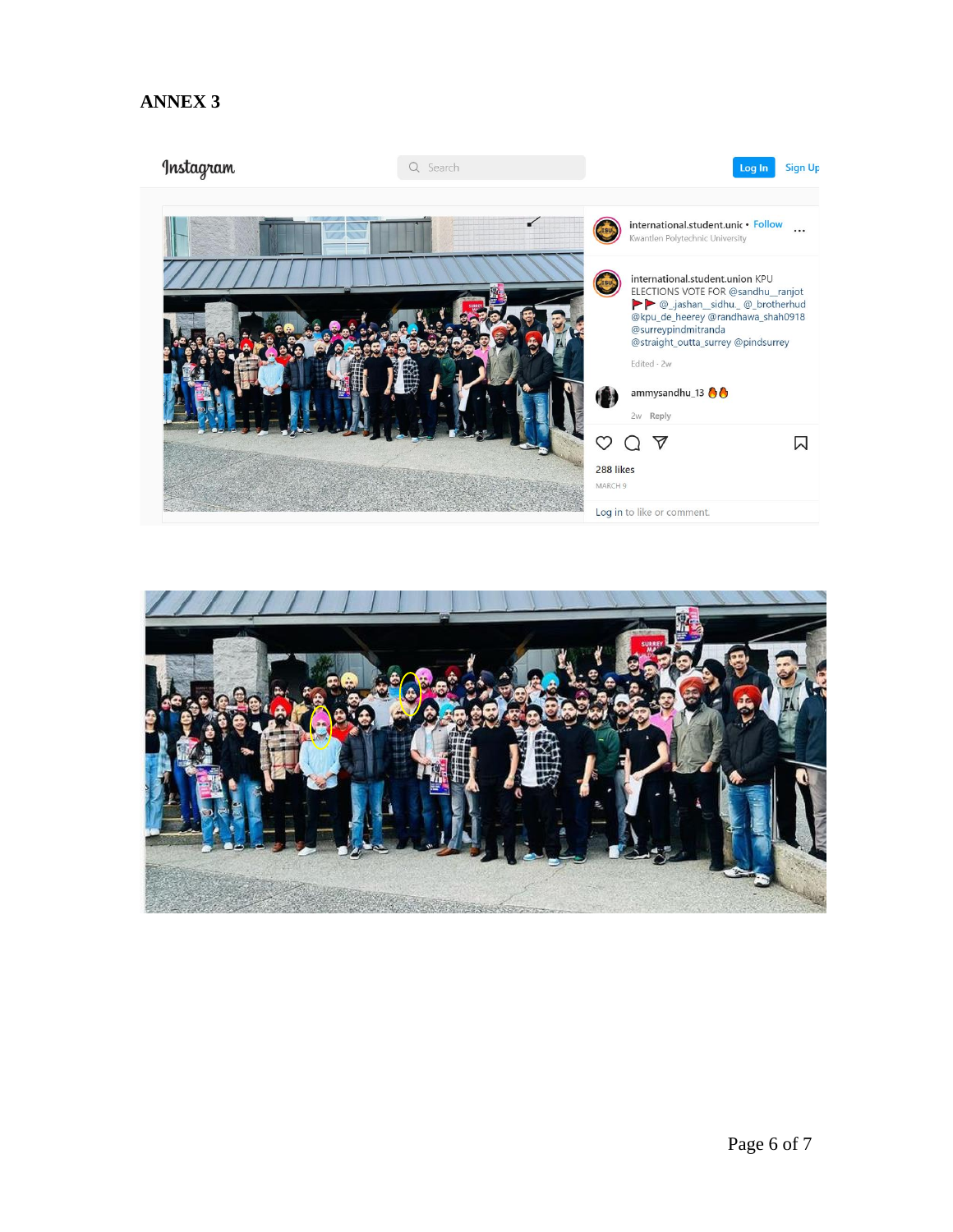